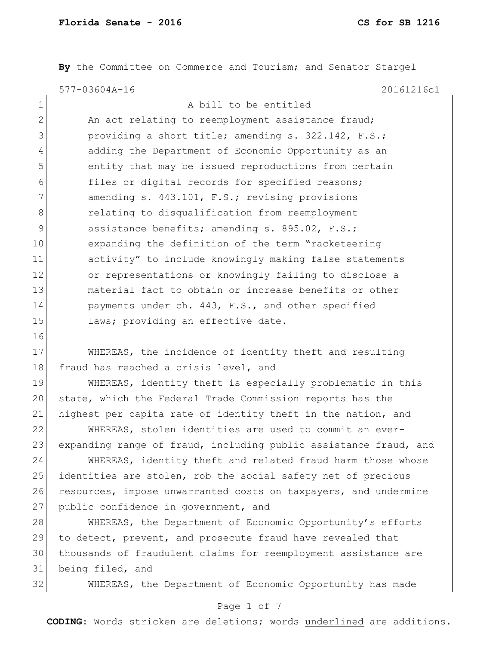**By** the Committee on Commerce and Tourism; and Senator Stargel 577-03604A-16 20161216c1

| $\mathbf 1$    | A bill to be entitled                                  |
|----------------|--------------------------------------------------------|
| $\overline{2}$ | An act relating to reemployment assistance fraud;      |
| 3              | providing a short title; amending s. 322.142, F.S.;    |
| 4              | adding the Department of Economic Opportunity as an    |
| 5              | entity that may be issued reproductions from certain   |
| 6              | files or digital records for specified reasons;        |
| 7              | amending s. 443.101, F.S.; revising provisions         |
| 8              | relating to disqualification from reemployment         |
| 9              | assistance benefits; amending s. 895.02, F.S.;         |
| 10             | expanding the definition of the term "racketeering     |
| 11             | activity" to include knowingly making false statements |
| 12             | or representations or knowingly failing to disclose a  |
| 13             | material fact to obtain or increase benefits or other  |
| 14             | payments under ch. 443, F.S., and other specified      |
| 15             | laws; providing an effective date.                     |
|                |                                                        |

 WHEREAS, the incidence of identity theft and resulting 18 fraud has reached a crisis level, and

 WHEREAS, identity theft is especially problematic in this state, which the Federal Trade Commission reports has the 21 highest per capita rate of identity theft in the nation, and

 WHEREAS, stolen identities are used to commit an ever-23 expanding range of fraud, including public assistance fraud, and

 WHEREAS, identity theft and related fraud harm those whose 25 identities are stolen, rob the social safety net of precious 26 resources, impose unwarranted costs on taxpayers, and undermine 27 public confidence in government, and

28 WHEREAS, the Department of Economic Opportunity's efforts 29 to detect, prevent, and prosecute fraud have revealed that thousands of fraudulent claims for reemployment assistance are being filed, and

WHEREAS, the Department of Economic Opportunity has made

#### Page 1 of 7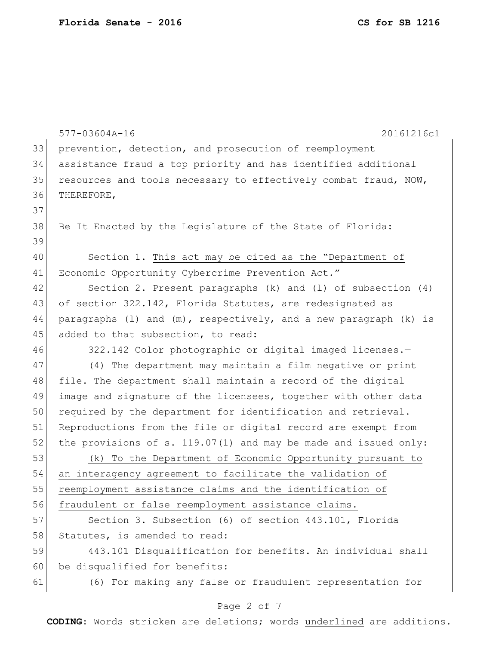|    | 20161216c1<br>577-03604A-16                                         |
|----|---------------------------------------------------------------------|
| 33 | prevention, detection, and prosecution of reemployment              |
| 34 | assistance fraud a top priority and has identified additional       |
| 35 | resources and tools necessary to effectively combat fraud, NOW,     |
| 36 | THEREFORE,                                                          |
| 37 |                                                                     |
| 38 | Be It Enacted by the Legislature of the State of Florida:           |
| 39 |                                                                     |
| 40 | Section 1. This act may be cited as the "Department of              |
| 41 | Economic Opportunity Cybercrime Prevention Act."                    |
| 42 | Section 2. Present paragraphs $(k)$ and $(l)$ of subsection $(4)$   |
| 43 | of section 322.142, Florida Statutes, are redesignated as           |
| 44 | paragraphs (1) and $(m)$ , respectively, and a new paragraph (k) is |
| 45 | added to that subsection, to read:                                  |
| 46 | 322.142 Color photographic or digital imaged licenses.-             |
| 47 | (4) The department may maintain a film negative or print            |
| 48 | file. The department shall maintain a record of the digital         |
| 49 | image and signature of the licensees, together with other data      |
| 50 | required by the department for identification and retrieval.        |
| 51 | Reproductions from the file or digital record are exempt from       |
| 52 | the provisions of s. $119.07(1)$ and may be made and issued only:   |
| 53 | (k) To the Department of Economic Opportunity pursuant to           |
| 54 | an interagency agreement to facilitate the validation of            |
| 55 | reemployment assistance claims and the identification of            |
| 56 | fraudulent or false reemployment assistance claims.                 |
| 57 | Section 3. Subsection (6) of section 443.101, Florida               |
| 58 | Statutes, is amended to read:                                       |
| 59 | 443.101 Disqualification for benefits. An individual shall          |
| 60 | be disqualified for benefits:                                       |
| 61 | (6) For making any false or fraudulent representation for           |
|    | Page 2 of 7                                                         |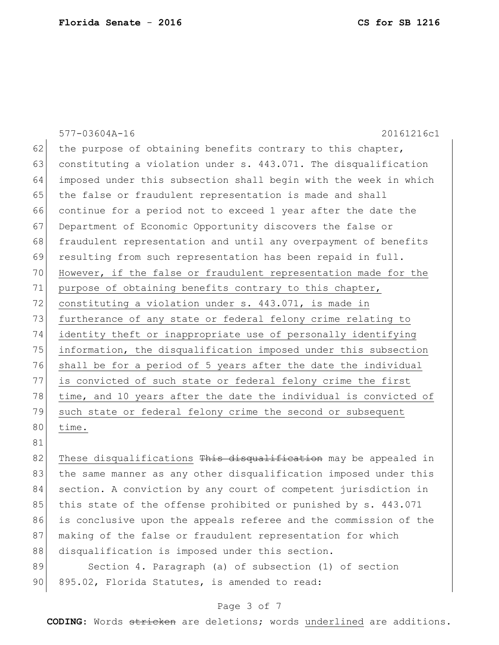|    | 577-03604A-16<br>20161216c1                                      |
|----|------------------------------------------------------------------|
| 62 | the purpose of obtaining benefits contrary to this chapter,      |
| 63 | constituting a violation under s. 443.071. The disqualification  |
| 64 | imposed under this subsection shall begin with the week in which |
| 65 | the false or fraudulent representation is made and shall         |
| 66 | continue for a period not to exceed 1 year after the date the    |
| 67 | Department of Economic Opportunity discovers the false or        |
| 68 | fraudulent representation and until any overpayment of benefits  |
| 69 | resulting from such representation has been repaid in full.      |
| 70 | However, if the false or fraudulent representation made for the  |
| 71 | purpose of obtaining benefits contrary to this chapter,          |
| 72 | constituting a violation under s. 443.071, is made in            |
| 73 | furtherance of any state or federal felony crime relating to     |
| 74 | identity theft or inappropriate use of personally identifying    |
| 75 | information, the disqualification imposed under this subsection  |
| 76 | shall be for a period of 5 years after the date the individual   |
| 77 | is convicted of such state or federal felony crime the first     |
| 78 | time, and 10 years after the date the individual is convicted of |
| 79 | such state or federal felony crime the second or subsequent      |
| 80 | time.                                                            |
| 81 |                                                                  |
|    |                                                                  |

82 These disqualifications This disqualification may be appealed in 83 | the same manner as any other disqualification imposed under this 84 section. A conviction by any court of competent jurisdiction in 85 this state of the offense prohibited or punished by s. 443.071 86 is conclusive upon the appeals referee and the commission of the 87 making of the false or fraudulent representation for which 88 disqualification is imposed under this section.

89 Section 4. Paragraph (a) of subsection (1) of section 90 895.02, Florida Statutes, is amended to read:

#### Page 3 of 7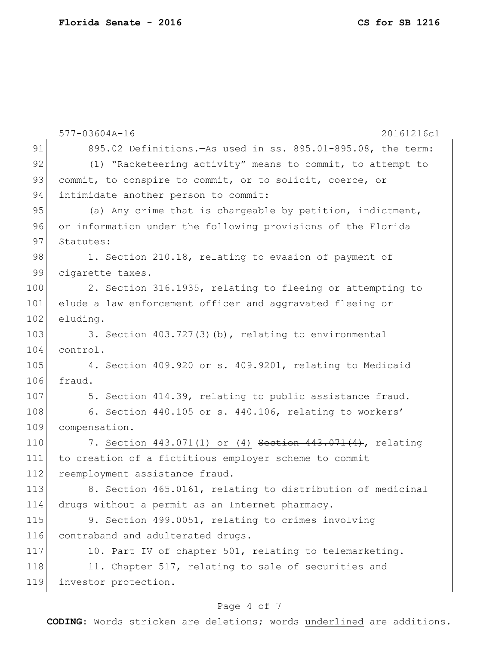| 91<br>895.02 Definitions. - As used in ss. 895.01-895.08, the term:<br>92<br>(1) "Racketeering activity" means to commit, to attempt to<br>93<br>commit, to conspire to commit, or to solicit, coerce, or<br>94<br>intimidate another person to commit:<br>95<br>(a) Any crime that is chargeable by petition, indictment,<br>96<br>or information under the following provisions of the Florida<br>97<br>Statutes:<br>98<br>1. Section 210.18, relating to evasion of payment of<br>99<br>cigarette taxes.<br>100<br>2. Section 316.1935, relating to fleeing or attempting to<br>101<br>elude a law enforcement officer and aggravated fleeing or<br>102<br>eluding.<br>103<br>3. Section $403.727(3)$ (b), relating to environmental<br>104<br>control.<br>105<br>4. Section 409.920 or s. 409.9201, relating to Medicaid<br>106<br>fraud.<br>107<br>5. Section 414.39, relating to public assistance fraud.<br>108<br>6. Section 440.105 or s. 440.106, relating to workers'<br>109<br>compensation.<br>110<br>7. Section 443.071(1) or (4) Section 443.071(4), relating<br>to ereation of a fictitious employer scheme to commit<br>111<br>112<br>reemployment assistance fraud.<br>113<br>8. Section 465.0161, relating to distribution of medicinal<br>114<br>drugs without a permit as an Internet pharmacy.<br>115<br>9. Section 499.0051, relating to crimes involving<br>116<br>contraband and adulterated drugs.<br>117<br>10. Part IV of chapter 501, relating to telemarketing.<br>118<br>11. Chapter 517, relating to sale of securities and<br>119<br>investor protection. | 577-03604A-16<br>20161216c1 |
|--------------------------------------------------------------------------------------------------------------------------------------------------------------------------------------------------------------------------------------------------------------------------------------------------------------------------------------------------------------------------------------------------------------------------------------------------------------------------------------------------------------------------------------------------------------------------------------------------------------------------------------------------------------------------------------------------------------------------------------------------------------------------------------------------------------------------------------------------------------------------------------------------------------------------------------------------------------------------------------------------------------------------------------------------------------------------------------------------------------------------------------------------------------------------------------------------------------------------------------------------------------------------------------------------------------------------------------------------------------------------------------------------------------------------------------------------------------------------------------------------------------------------------------------------------------------------------------------|-----------------------------|
|                                                                                                                                                                                                                                                                                                                                                                                                                                                                                                                                                                                                                                                                                                                                                                                                                                                                                                                                                                                                                                                                                                                                                                                                                                                                                                                                                                                                                                                                                                                                                                                            |                             |
|                                                                                                                                                                                                                                                                                                                                                                                                                                                                                                                                                                                                                                                                                                                                                                                                                                                                                                                                                                                                                                                                                                                                                                                                                                                                                                                                                                                                                                                                                                                                                                                            |                             |
|                                                                                                                                                                                                                                                                                                                                                                                                                                                                                                                                                                                                                                                                                                                                                                                                                                                                                                                                                                                                                                                                                                                                                                                                                                                                                                                                                                                                                                                                                                                                                                                            |                             |
|                                                                                                                                                                                                                                                                                                                                                                                                                                                                                                                                                                                                                                                                                                                                                                                                                                                                                                                                                                                                                                                                                                                                                                                                                                                                                                                                                                                                                                                                                                                                                                                            |                             |
|                                                                                                                                                                                                                                                                                                                                                                                                                                                                                                                                                                                                                                                                                                                                                                                                                                                                                                                                                                                                                                                                                                                                                                                                                                                                                                                                                                                                                                                                                                                                                                                            |                             |
|                                                                                                                                                                                                                                                                                                                                                                                                                                                                                                                                                                                                                                                                                                                                                                                                                                                                                                                                                                                                                                                                                                                                                                                                                                                                                                                                                                                                                                                                                                                                                                                            |                             |
|                                                                                                                                                                                                                                                                                                                                                                                                                                                                                                                                                                                                                                                                                                                                                                                                                                                                                                                                                                                                                                                                                                                                                                                                                                                                                                                                                                                                                                                                                                                                                                                            |                             |
|                                                                                                                                                                                                                                                                                                                                                                                                                                                                                                                                                                                                                                                                                                                                                                                                                                                                                                                                                                                                                                                                                                                                                                                                                                                                                                                                                                                                                                                                                                                                                                                            |                             |
|                                                                                                                                                                                                                                                                                                                                                                                                                                                                                                                                                                                                                                                                                                                                                                                                                                                                                                                                                                                                                                                                                                                                                                                                                                                                                                                                                                                                                                                                                                                                                                                            |                             |
|                                                                                                                                                                                                                                                                                                                                                                                                                                                                                                                                                                                                                                                                                                                                                                                                                                                                                                                                                                                                                                                                                                                                                                                                                                                                                                                                                                                                                                                                                                                                                                                            |                             |
|                                                                                                                                                                                                                                                                                                                                                                                                                                                                                                                                                                                                                                                                                                                                                                                                                                                                                                                                                                                                                                                                                                                                                                                                                                                                                                                                                                                                                                                                                                                                                                                            |                             |
|                                                                                                                                                                                                                                                                                                                                                                                                                                                                                                                                                                                                                                                                                                                                                                                                                                                                                                                                                                                                                                                                                                                                                                                                                                                                                                                                                                                                                                                                                                                                                                                            |                             |
|                                                                                                                                                                                                                                                                                                                                                                                                                                                                                                                                                                                                                                                                                                                                                                                                                                                                                                                                                                                                                                                                                                                                                                                                                                                                                                                                                                                                                                                                                                                                                                                            |                             |
|                                                                                                                                                                                                                                                                                                                                                                                                                                                                                                                                                                                                                                                                                                                                                                                                                                                                                                                                                                                                                                                                                                                                                                                                                                                                                                                                                                                                                                                                                                                                                                                            |                             |
|                                                                                                                                                                                                                                                                                                                                                                                                                                                                                                                                                                                                                                                                                                                                                                                                                                                                                                                                                                                                                                                                                                                                                                                                                                                                                                                                                                                                                                                                                                                                                                                            |                             |
|                                                                                                                                                                                                                                                                                                                                                                                                                                                                                                                                                                                                                                                                                                                                                                                                                                                                                                                                                                                                                                                                                                                                                                                                                                                                                                                                                                                                                                                                                                                                                                                            |                             |
|                                                                                                                                                                                                                                                                                                                                                                                                                                                                                                                                                                                                                                                                                                                                                                                                                                                                                                                                                                                                                                                                                                                                                                                                                                                                                                                                                                                                                                                                                                                                                                                            |                             |
|                                                                                                                                                                                                                                                                                                                                                                                                                                                                                                                                                                                                                                                                                                                                                                                                                                                                                                                                                                                                                                                                                                                                                                                                                                                                                                                                                                                                                                                                                                                                                                                            |                             |
|                                                                                                                                                                                                                                                                                                                                                                                                                                                                                                                                                                                                                                                                                                                                                                                                                                                                                                                                                                                                                                                                                                                                                                                                                                                                                                                                                                                                                                                                                                                                                                                            |                             |
|                                                                                                                                                                                                                                                                                                                                                                                                                                                                                                                                                                                                                                                                                                                                                                                                                                                                                                                                                                                                                                                                                                                                                                                                                                                                                                                                                                                                                                                                                                                                                                                            |                             |
|                                                                                                                                                                                                                                                                                                                                                                                                                                                                                                                                                                                                                                                                                                                                                                                                                                                                                                                                                                                                                                                                                                                                                                                                                                                                                                                                                                                                                                                                                                                                                                                            |                             |
|                                                                                                                                                                                                                                                                                                                                                                                                                                                                                                                                                                                                                                                                                                                                                                                                                                                                                                                                                                                                                                                                                                                                                                                                                                                                                                                                                                                                                                                                                                                                                                                            |                             |
|                                                                                                                                                                                                                                                                                                                                                                                                                                                                                                                                                                                                                                                                                                                                                                                                                                                                                                                                                                                                                                                                                                                                                                                                                                                                                                                                                                                                                                                                                                                                                                                            |                             |
|                                                                                                                                                                                                                                                                                                                                                                                                                                                                                                                                                                                                                                                                                                                                                                                                                                                                                                                                                                                                                                                                                                                                                                                                                                                                                                                                                                                                                                                                                                                                                                                            |                             |
|                                                                                                                                                                                                                                                                                                                                                                                                                                                                                                                                                                                                                                                                                                                                                                                                                                                                                                                                                                                                                                                                                                                                                                                                                                                                                                                                                                                                                                                                                                                                                                                            |                             |
|                                                                                                                                                                                                                                                                                                                                                                                                                                                                                                                                                                                                                                                                                                                                                                                                                                                                                                                                                                                                                                                                                                                                                                                                                                                                                                                                                                                                                                                                                                                                                                                            |                             |
|                                                                                                                                                                                                                                                                                                                                                                                                                                                                                                                                                                                                                                                                                                                                                                                                                                                                                                                                                                                                                                                                                                                                                                                                                                                                                                                                                                                                                                                                                                                                                                                            |                             |
|                                                                                                                                                                                                                                                                                                                                                                                                                                                                                                                                                                                                                                                                                                                                                                                                                                                                                                                                                                                                                                                                                                                                                                                                                                                                                                                                                                                                                                                                                                                                                                                            |                             |
|                                                                                                                                                                                                                                                                                                                                                                                                                                                                                                                                                                                                                                                                                                                                                                                                                                                                                                                                                                                                                                                                                                                                                                                                                                                                                                                                                                                                                                                                                                                                                                                            |                             |

## Page 4 of 7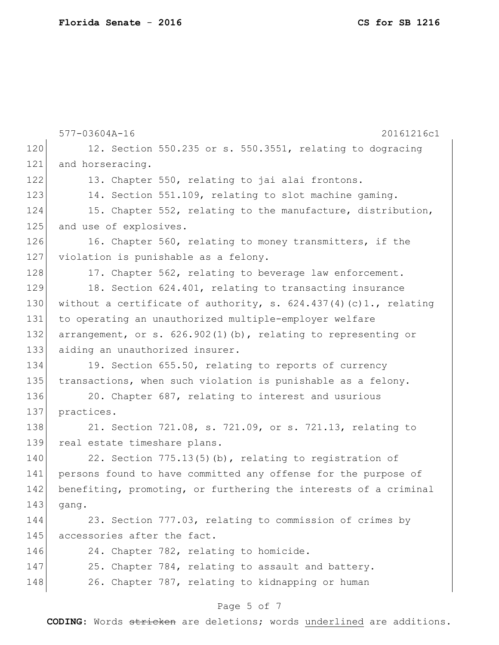|     | 577-03604A-16<br>20161216c1                                        |
|-----|--------------------------------------------------------------------|
| 120 | 12. Section 550.235 or s. 550.3551, relating to dogracing          |
| 121 | and horseracing.                                                   |
| 122 | 13. Chapter 550, relating to jai alai frontons.                    |
| 123 | 14. Section 551.109, relating to slot machine gaming.              |
| 124 | 15. Chapter 552, relating to the manufacture, distribution,        |
| 125 | and use of explosives.                                             |
| 126 | 16. Chapter 560, relating to money transmitters, if the            |
| 127 | violation is punishable as a felony.                               |
| 128 | 17. Chapter 562, relating to beverage law enforcement.             |
| 129 | 18. Section 624.401, relating to transacting insurance             |
| 130 | without a certificate of authority, s. $624.437(4)(c)1.,$ relating |
| 131 | to operating an unauthorized multiple-employer welfare             |
| 132 | arrangement, or s. $626.902(1)$ (b), relating to representing or   |
| 133 | aiding an unauthorized insurer.                                    |
| 134 | 19. Section 655.50, relating to reports of currency                |
| 135 | transactions, when such violation is punishable as a felony.       |
| 136 | 20. Chapter 687, relating to interest and usurious                 |
| 137 | practices.                                                         |
| 138 | 21. Section 721.08, s. 721.09, or s. 721.13, relating to           |
| 139 | real estate timeshare plans.                                       |
| 140 | 22. Section 775.13(5)(b), relating to registration of              |
| 141 | persons found to have committed any offense for the purpose of     |
| 142 | benefiting, promoting, or furthering the interests of a criminal   |
| 143 | gang.                                                              |
| 144 | 23. Section 777.03, relating to commission of crimes by            |
| 145 | accessories after the fact.                                        |
| 146 | 24. Chapter 782, relating to homicide.                             |
| 147 | 25. Chapter 784, relating to assault and battery.                  |
| 148 | 26. Chapter 787, relating to kidnapping or human                   |
|     | Page 5 of 7                                                        |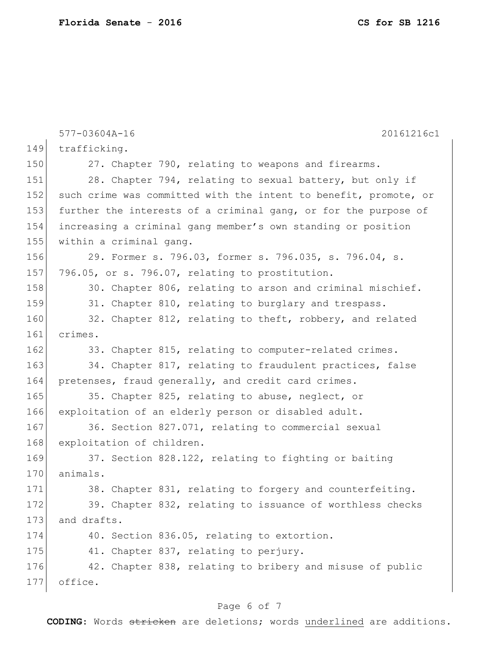|     | 577-03604A-16<br>20161216c1                                      |
|-----|------------------------------------------------------------------|
| 149 | trafficking.                                                     |
| 150 | 27. Chapter 790, relating to weapons and firearms.               |
| 151 | 28. Chapter 794, relating to sexual battery, but only if         |
| 152 | such crime was committed with the intent to benefit, promote, or |
| 153 | further the interests of a criminal gang, or for the purpose of  |
| 154 | increasing a criminal gang member's own standing or position     |
| 155 | within a criminal gang.                                          |
| 156 | 29. Former s. 796.03, former s. 796.035, s. 796.04, s.           |
| 157 | 796.05, or s. 796.07, relating to prostitution.                  |
| 158 | 30. Chapter 806, relating to arson and criminal mischief.        |
| 159 | 31. Chapter 810, relating to burglary and trespass.              |
| 160 | 32. Chapter 812, relating to theft, robbery, and related         |
| 161 | crimes.                                                          |
| 162 | 33. Chapter 815, relating to computer-related crimes.            |
| 163 | 34. Chapter 817, relating to fraudulent practices, false         |
| 164 | pretenses, fraud generally, and credit card crimes.              |
| 165 | 35. Chapter 825, relating to abuse, neglect, or                  |
| 166 | exploitation of an elderly person or disabled adult.             |
| 167 | 36. Section 827.071, relating to commercial sexual               |
| 168 | exploitation of children.                                        |
| 169 | 37. Section 828.122, relating to fighting or baiting             |
| 170 | animals.                                                         |
| 171 | 38. Chapter 831, relating to forgery and counterfeiting.         |
| 172 | 39. Chapter 832, relating to issuance of worthless checks        |
| 173 | and drafts.                                                      |
| 174 | 40. Section 836.05, relating to extortion.                       |
| 175 | 41. Chapter 837, relating to perjury.                            |
| 176 | 42. Chapter 838, relating to bribery and misuse of public        |
| 177 | office.                                                          |
|     |                                                                  |

## Page 6 of 7